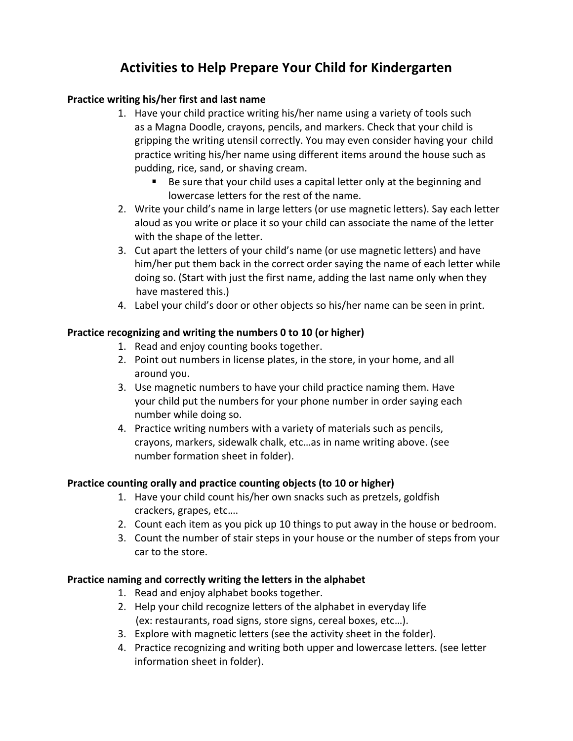# **Activities to Help Prepare Your Child for Kindergarten**

## Practice writing his/her first and last name

- 1. Have your child practice writing his/her name using a variety of tools such as a Magna Doodle, crayons, pencils, and markers. Check that your child is gripping the writing utensil correctly. You may even consider having your child practice writing his/her name using different items around the house such as pudding, rice, sand, or shaving cream.
	- $\blacksquare$  Be sure that your child uses a capital letter only at the beginning and lowercase letters for the rest of the name.
- 2. Write your child's name in large letters (or use magnetic letters). Say each letter aloud as you write or place it so your child can associate the name of the letter with the shape of the letter.
- 3. Cut apart the letters of your child's name (or use magnetic letters) and have him/her put them back in the correct order saying the name of each letter while doing so. (Start with just the first name, adding the last name only when they have mastered this.)
- 4. Label your child's door or other objects so his/her name can be seen in print.

## Practice recognizing and writing the numbers 0 to 10 (or higher)

- 1. Read and enjoy counting books together.
- 2. Point out numbers in license plates, in the store, in your home, and all around you.
- 3. Use magnetic numbers to have your child practice naming them. Have your child put the numbers for your phone number in order saying each number while doing so.
- 4. Practice writing numbers with a variety of materials such as pencils, crayons, markers, sidewalk chalk, etc...as in name writing above. (see number formation sheet in folder).

## Practice counting orally and practice counting objects (to 10 or higher)

- 1. Have your child count his/her own snacks such as pretzels, goldfish crackers, grapes, etc....
- 2. Count each item as you pick up 10 things to put away in the house or bedroom.
- 3. Count the number of stair steps in your house or the number of steps from your car to the store.

## Practice naming and correctly writing the letters in the alphabet

- 1. Read and enjoy alphabet books together.
- 2. Help your child recognize letters of the alphabet in everyday life (ex: restaurants, road signs, store signs, cereal boxes, etc...).
- 3. Explore with magnetic letters (see the activity sheet in the folder).
- 4. Practice recognizing and writing both upper and lowercase letters. (see letter information sheet in folder).